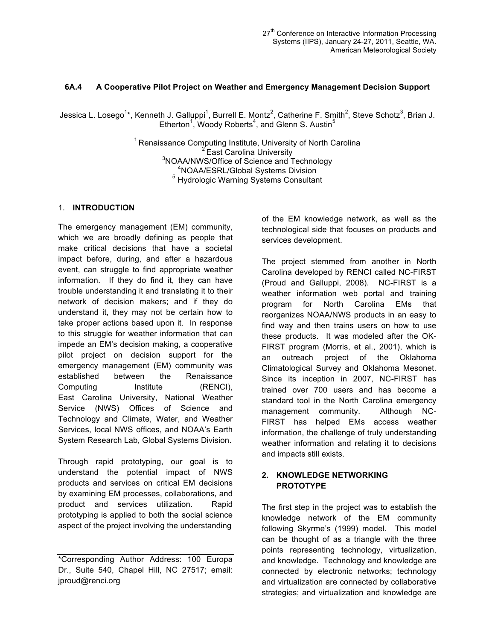# **6A.4 A Cooperative Pilot Project on Weather and Emergency Management Decision Support**

Jessica L. Losego<sup>1\*</sup>, Kenneth J. Galluppi<sup>1</sup>, Burrell E. Montz<sup>2</sup>, Catherine F. Smith<sup>2</sup>, Steve Schotz<sup>3</sup>, Brian J. Etherton<sup>1</sup>, Woody Roberts<sup>4</sup>, and Glenn S. Austin<sup>5</sup>

> <sup>1</sup> Renaissance Computing Institute, University of North Carolina  $2^2$  East Carolina University  $3$ NOAA/NWS/Office of Science and Technology<br> $4$ NOAA/ESRL/Global Systems Division <sup>5</sup> Hydrologic Warning Systems Consultant

## 1. **INTRODUCTION**

The emergency management (EM) community, which we are broadly defining as people that make critical decisions that have a societal impact before, during, and after a hazardous event, can struggle to find appropriate weather information. If they do find it, they can have trouble understanding it and translating it to their network of decision makers; and if they do understand it, they may not be certain how to take proper actions based upon it. In response to this struggle for weather information that can impede an EM's decision making, a cooperative pilot project on decision support for the emergency management (EM) community was established between the Renaissance Computing Institute (RENCI), East Carolina University, National Weather Service (NWS) Offices of Science and Technology and Climate, Water, and Weather Services, local NWS offices, and NOAA's Earth System Research Lab, Global Systems Division.

Through rapid prototyping, our goal is to understand the potential impact of NWS products and services on critical EM decisions by examining EM processes, collaborations, and product and services utilization. Rapid prototyping is applied to both the social science aspect of the project involving the understanding

of the EM knowledge network, as well as the technological side that focuses on products and services development.

The project stemmed from another in North Carolina developed by RENCI called NC-FIRST (Proud and Galluppi, 2008). NC-FIRST is a weather information web portal and training program for North Carolina EMs that reorganizes NOAA/NWS products in an easy to find way and then trains users on how to use these products. It was modeled after the OK-FIRST program (Morris, et al., 2001), which is an outreach project of the Oklahoma Climatological Survey and Oklahoma Mesonet. Since its inception in 2007, NC-FIRST has trained over 700 users and has become a standard tool in the North Carolina emergency management community. Although NC-FIRST has helped EMs access weather information, the challenge of truly understanding weather information and relating it to decisions and impacts still exists.

## **2. KNOWLEDGE NETWORKING PROTOTYPE**

The first step in the project was to establish the knowledge network of the EM community following Skyrme's (1999) model. This model can be thought of as a triangle with the three points representing technology, virtualization, and knowledge. Technology and knowledge are connected by electronic networks; technology and virtualization are connected by collaborative strategies; and virtualization and knowledge are

<sup>\*</sup>Corresponding Author Address: 100 Europa Dr., Suite 540, Chapel Hill, NC 27517; email: jproud@renci.org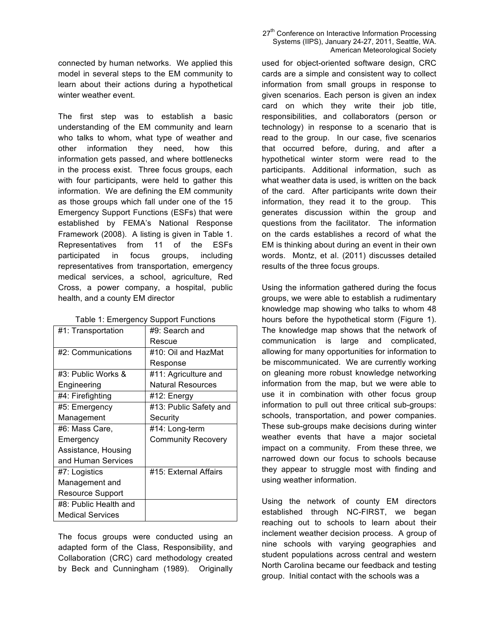connected by human networks. We applied this model in several steps to the EM community to learn about their actions during a hypothetical winter weather event.

The first step was to establish a basic understanding of the EM community and learn who talks to whom, what type of weather and other information they need, how this information gets passed, and where bottlenecks in the process exist. Three focus groups, each with four participants, were held to gather this information. We are defining the EM community as those groups which fall under one of the 15 Emergency Support Functions (ESFs) that were established by FEMA's National Response Framework (2008). A listing is given in Table 1. Representatives from 11 of the ESFs participated in focus groups, including representatives from transportation, emergency medical services, a school, agriculture, Red Cross, a power company, a hospital, public health, and a county EM director

| Table 1: Emergency Support Functions |  |
|--------------------------------------|--|
|                                      |  |

| #1: Transportation      | #9: Search and            |  |
|-------------------------|---------------------------|--|
|                         | Rescue                    |  |
| #2: Communications      | #10: Oil and HazMat       |  |
|                         | Response                  |  |
| #3: Public Works &      | #11: Agriculture and      |  |
| Engineering             | <b>Natural Resources</b>  |  |
| #4: Firefighting        | #12: Energy               |  |
| #5: Emergency           | #13: Public Safety and    |  |
| Management              | Security                  |  |
| #6: Mass Care,          | #14: Long-term            |  |
| Emergency               | <b>Community Recovery</b> |  |
| Assistance, Housing     |                           |  |
| and Human Services      |                           |  |
| #7: Logistics           | #15: External Affairs     |  |
| Management and          |                           |  |
| <b>Resource Support</b> |                           |  |
| #8: Public Health and   |                           |  |
| <b>Medical Services</b> |                           |  |

The focus groups were conducted using an adapted form of the Class, Responsibility, and Collaboration (CRC) card methodology created by Beck and Cunningham (1989). Originally

#### 27<sup>th</sup> Conference on Interactive Information Processing Systems (IIPS), January 24-27, 2011, Seattle, WA. American Meteorological Society

used for object-oriented software design, CRC cards are a simple and consistent way to collect information from small groups in response to given scenarios. Each person is given an index card on which they write their job title, responsibilities, and collaborators (person or technology) in response to a scenario that is read to the group. In our case, five scenarios that occurred before, during, and after a hypothetical winter storm were read to the participants. Additional information, such as what weather data is used, is written on the back of the card. After participants write down their information, they read it to the group. This generates discussion within the group and questions from the facilitator. The information on the cards establishes a record of what the EM is thinking about during an event in their own words. Montz, et al. (2011) discusses detailed results of the three focus groups.

Using the information gathered during the focus groups, we were able to establish a rudimentary knowledge map showing who talks to whom 48 hours before the hypothetical storm (Figure 1). The knowledge map shows that the network of communication is large and complicated, allowing for many opportunities for information to be miscommunicated. We are currently working on gleaning more robust knowledge networking information from the map, but we were able to use it in combination with other focus group information to pull out three critical sub-groups: schools, transportation, and power companies. These sub-groups make decisions during winter weather events that have a major societal impact on a community. From these three, we narrowed down our focus to schools because they appear to struggle most with finding and using weather information.

Using the network of county EM directors established through NC-FIRST, we began reaching out to schools to learn about their inclement weather decision process. A group of nine schools with varying geographies and student populations across central and western North Carolina became our feedback and testing group. Initial contact with the schools was a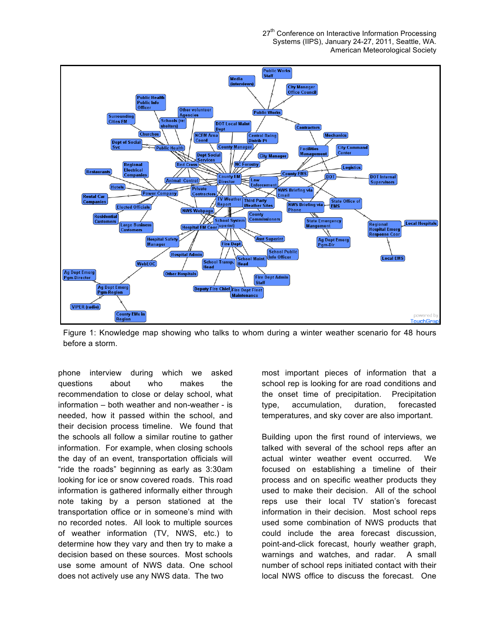27<sup>th</sup> Conference on Interactive Information Processing Systems (IIPS), January 24-27, 2011, Seattle, WA. American Meteorological Society



Figure 1: Knowledge map showing who talks to whom during a winter weather scenario for 48 hours before a storm.

phone interview during which we asked questions about who makes the recommendation to close or delay school, what information – both weather and non-weather - is needed, how it passed within the school, and their decision process timeline. We found that the schools all follow a similar routine to gather information. For example, when closing schools the day of an event, transportation officials will "ride the roads" beginning as early as 3:30am looking for ice or snow covered roads. This road information is gathered informally either through note taking by a person stationed at the transportation office or in someone's mind with no recorded notes. All look to multiple sources of weather information (TV, NWS, etc.) to determine how they vary and then try to make a decision based on these sources. Most schools use some amount of NWS data. One school does not actively use any NWS data. The two

most important pieces of information that a school rep is looking for are road conditions and the onset time of precipitation. Precipitation type, accumulation, duration, forecasted temperatures, and sky cover are also important.

Building upon the first round of interviews, we talked with several of the school reps after an actual winter weather event occurred. We focused on establishing a timeline of their process and on specific weather products they used to make their decision. All of the school reps use their local TV station's forecast information in their decision. Most school reps used some combination of NWS products that could include the area forecast discussion, point-and-click forecast, hourly weather graph, warnings and watches, and radar. A small number of school reps initiated contact with their local NWS office to discuss the forecast. One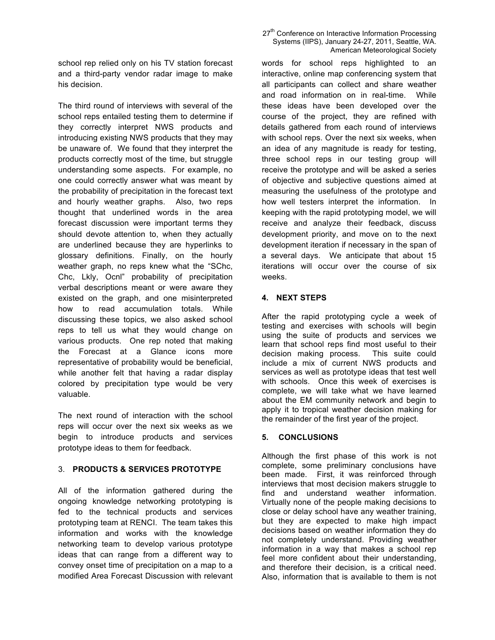school rep relied only on his TV station forecast and a third-party vendor radar image to make his decision.

The third round of interviews with several of the school reps entailed testing them to determine if they correctly interpret NWS products and introducing existing NWS products that they may be unaware of. We found that they interpret the products correctly most of the time, but struggle understanding some aspects. For example, no one could correctly answer what was meant by the probability of precipitation in the forecast text and hourly weather graphs. Also, two reps thought that underlined words in the area forecast discussion were important terms they should devote attention to, when they actually are underlined because they are hyperlinks to glossary definitions. Finally, on the hourly weather graph, no reps knew what the "SChc, Chc, Lkly, Ocnl" probability of precipitation verbal descriptions meant or were aware they existed on the graph, and one misinterpreted how to read accumulation totals. While discussing these topics, we also asked school reps to tell us what they would change on various products. One rep noted that making the Forecast at a Glance icons more representative of probability would be beneficial, while another felt that having a radar display colored by precipitation type would be very valuable.

The next round of interaction with the school reps will occur over the next six weeks as we begin to introduce products and services prototype ideas to them for feedback.

## 3. **PRODUCTS & SERVICES PROTOTYPE**

All of the information gathered during the ongoing knowledge networking prototyping is fed to the technical products and services prototyping team at RENCI. The team takes this information and works with the knowledge networking team to develop various prototype ideas that can range from a different way to convey onset time of precipitation on a map to a modified Area Forecast Discussion with relevant

#### 27<sup>th</sup> Conference on Interactive Information Processing Systems (IIPS), January 24-27, 2011, Seattle, WA. American Meteorological Society

words for school reps highlighted to an interactive, online map conferencing system that all participants can collect and share weather and road information on in real-time. While these ideas have been developed over the course of the project, they are refined with details gathered from each round of interviews with school reps. Over the next six weeks, when an idea of any magnitude is ready for testing, three school reps in our testing group will receive the prototype and will be asked a series of objective and subjective questions aimed at measuring the usefulness of the prototype and how well testers interpret the information. In keeping with the rapid prototyping model, we will receive and analyze their feedback, discuss development priority, and move on to the next development iteration if necessary in the span of a several days. We anticipate that about 15 iterations will occur over the course of six weeks.

#### **4. NEXT STEPS**

After the rapid prototyping cycle a week of testing and exercises with schools will begin using the suite of products and services we learn that school reps find most useful to their decision making process. This suite could include a mix of current NWS products and services as well as prototype ideas that test well with schools. Once this week of exercises is complete, we will take what we have learned about the EM community network and begin to apply it to tropical weather decision making for the remainder of the first year of the project.

## **5. CONCLUSIONS**

Although the first phase of this work is not complete, some preliminary conclusions have been made. First, it was reinforced through interviews that most decision makers struggle to find and understand weather information. Virtually none of the people making decisions to close or delay school have any weather training, but they are expected to make high impact decisions based on weather information they do not completely understand. Providing weather information in a way that makes a school rep feel more confident about their understanding, and therefore their decision, is a critical need. Also, information that is available to them is not